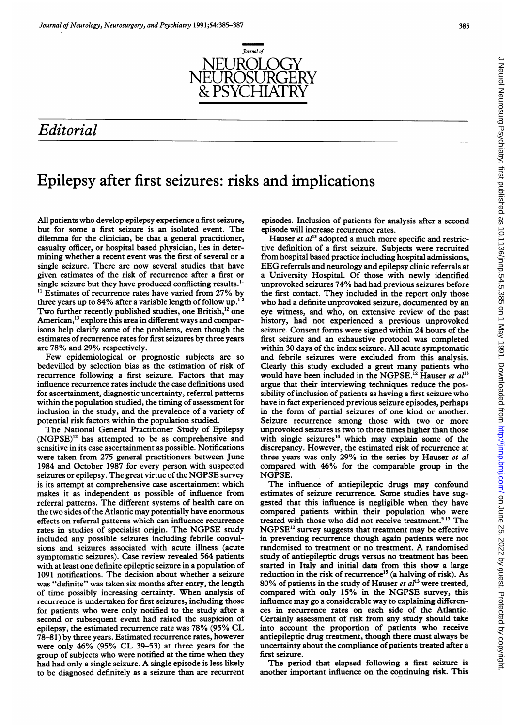

## Editorial

# Epilepsy after first seizures: risks and implications

All patients who develop epilepsy experience a first seizure, but for some a first seizure is an isolated event. The dilemma for the clinician, be that a general practitioner, casualty officer, or hospital based physician, lies in determining whether a recent event was the first of several or a single seizure. There are now several studies that have given estimates of the risk of recurrence after a first or single seizure but they have produced conflicting results.'- <sup>11</sup> Estimates of recurrence rates have varied from 27% by three years up to  $84\%$  after a variable length of follow up.<sup>1</sup> Two further recently published studies, one British,<sup>12</sup> one American,<sup>13</sup> explore this area in different ways and comparisons help clarify some of the problems, even though the estimates of recurrence rates for first seizures by three years

are 78% and 29% respectively. Few epidemiological or prognostic subjects are so bedevilled by selection bias as the estimation of risk of recurrence following a first seizure. Factors that may influence recurrence rates include the case definitions used for ascertainment, diagnostic uncertainty, referral patterns within the population studied, the timing of assessment for inclusion in the study, and the prevalence of a variety of potential risk factors within the population studied.

The National General Practitioner Study of Epilepsy (NGPSE)'2 has attempted to be as comprehensive and sensitive in its case ascertainment as possible. Notifications were taken from 275 general practitioners between June 1984 and October 1987 for every person with suspected seizures or epilepsy. The great virtue of the NGPSE survey is its attempt at comprehensive case ascertainment which makes it as independent as possible of influence from referral patterns. The different systems of health care on the two sides of the Atlantic may potentially have enormous effects on referral patterns which can influence recurrence rates in studies of specialist origin. The NGPSE study included any possible seizures including febrile convulsions and seizures associated with acute illness (acute symptomatic seizures). Case review revealed 564 patients with at least one definite epileptic seizure in a population of 1091 notifications. The decision about whether a seizure was "definite" was taken six months after entry, the length of time possibly increasing certainty. When analysis of recurrence is undertaken for first seizures, including those for patients who were only notified to the study after a second or subsequent event had raised the suspicion of epilepsy, the estimated recurrence rate was 78% (95% CL 78-81) by three years. Estimated recurrence rates, however were only 46% (95% CL 39-53) at three years for the group of subjects who were notified at the time when they had had only <sup>a</sup> single seizure. A single episode is less likely to be diagnosed definitely as a seizure than are recurrent episodes. Inclusion of patients for analysis after a second episode will increase recurrence rates.

Hauser et  $al^{13}$  adopted a much more specific and restrictive definition of a first seizure. Subjects were recruited from hospital based practice including hospital admissions, EEG referrals and neurology and epilepsy clinic referrals at a University Hospital. Of those with newly identified unprovoked seizures 74% had had previous seizures before the first contact. They included in the report only those who had <sup>a</sup> definite unprovoked seizure, documented by an eye witness, and who, on extensive review of the past history, had not experienced a previous unprovoked seizure. Consent forms were signed within 24 hours of the first seizure and an exhaustive protocol was completed within 30 days of the index seizure. All acute symptomatic and febrile seizures were excluded from this analysis. Clearly this study excluded a great many patients who would have been included in the NGPSE.<sup>12</sup> Hauser et  $al^{13}$ argue that their interviewing techniques reduce the possibility of inclusion of patients as having a first seizure who have in fact experienced previous seizure episodes, perhaps in the form of partial seizures of one kind or another. Seizure recurrence among those with two or more unprovoked seizures is two to three times higher than those with single seizures<sup>14</sup> which may explain some of the discrepancy. However, the estimated risk of recurrence at three years was only 29% in the series by Hauser et al compared with 46% for the comparable group in the NGPSE.

The influence of antiepileptic drugs may confound estimates of seizure recurrence. Some studies have suggested that this influence is negligible when they have compared patients within their population who were treated with those who did not receive treatment.<sup>513</sup> The NGPSE12 survey suggests that treatment may be effective in preventing recurrence though again patients were not randomised to treatment or no treatment. A randomised study of antiepileptic drugs versus no treatment has been started in Italy and initial data from this show a large reduction in the risk of recurrence<sup>15</sup> (a halving of risk). As 80% of patients in the study of Hauser et  $al^{13}$  were treated, compared with only 15% in the NGPSE survey, this influence may go a considerable way to explaining differences in recurrence rates on each side of the Atlantic. Certainly assessment of risk from any study should take into account the proportion of patients who receive antiepileptic drug treatment, though there must always be uncertainty about the compliance of patients treated after a first seizure.

The period that elapsed following a first seizure is another important influence on the continuing risk. This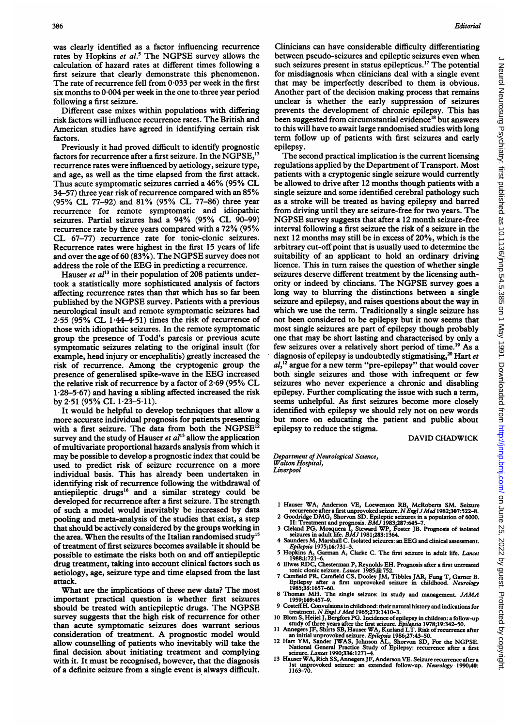386

was clearly identified as a factor influencing recurrence rates by Hopkins et  $al$ <sup>5</sup> The NGPSE survey allows the calculation of hazard rates at different times following a first seizure that clearly demonstrate this phenomenon. The rate of recurrence fell from  $0.033$  per week in the first six months to 0 004 per week in the one to three year period following a first seizure.

Different case mixes within populations with differing risk factors will influence recurrence rates. The British and American studies have agreed in identifying certain risk factors.

Previously it had proved difficult to identify prognostic factors for recurrence after a first seizure. In the NGPSE,<sup>13</sup> recurrence rates were influenced by aetiology, seizure type, and age, as well as the time elapsed from the first attack. Thus acute symptomatic seizures carried <sup>a</sup> 46% (95% CL 34-57) three year risk of recurrence compared with an 85% (95% CL 77-92) and 81% (95% CL 77-86) three year recurrence for remote symptomatic and idiopathic seizures. Partial seizures had <sup>a</sup> 94% (95% CL 90-99) recurrence rate by three years compared with <sup>a</sup> 72% (95% CL 67-77) recurrence rate for tonic-clonic seizures. Recurrence rates were highest in the first 15 years of life and over the age of <sup>60</sup> (83%). The NGPSE survey does not address the role of the EEG in predicting <sup>a</sup> recurrence.

Hauser et  $al^{13}$  in their population of 208 patients undertook a statistically more sophisticated analysis of factors affecting recurrence rates than that which has so far been published by the NGPSE survey. Patients with <sup>a</sup> previous neurological insult and remote symptomatic seizures had  $2.55$  (95% CL  $1.44-4.51$ ) times the risk of recurrence of those with idiopathic seizures. In the remote symptomatic group the presence of Todd's paresis or previous acute symptomatic seizures relating to the original insult (for example, head injury or encephalitis) greatly increased the risk of recurrence. Among the cryptogenic group the presence of generalised spike-wave in the EEG increased the relative risk of recurrence by <sup>a</sup> factor of 2-69 (95% CL <sup>1</sup> 28-5-67) and having a sibling affected increased the risk by 2-51 (95% CL 1-23-5 11).

It would be helpful to develop techniques that allow a more accurate individual prognosis for patients presenting with a first seizure. The data from both the NGPSE'2 survey and the study of Hauser et  $al<sup>13</sup>$  allow the application of multivariate proportional hazards analysis from which it may be possible to develop a prognostic index that could be used to predict risk of seizure recurrence on a more individual basis. This has already been undertaken in identifying risk of recurrence following the withdrawal of antiepileptic drugs<sup>16</sup> and a similar strategy could be developed for recurrence after <sup>a</sup> first seizure. The strength of such a model would inevitably be increased by data pooling and meta-analysis of the studies that exist, a step that should be actively considered by the groups working in the area. When the results of the Italian randomised study<sup>15</sup> of treatment of first seizures becomes available it should be possible to estimate the risks both on and off antiepileptic drug treatment, taking into account clinical factors such as aetiology, age, seizure type and time elapsed from the last attack.

What are the implications of these new data? The most important practical question is whether first seizures should be treated with antiepileptic drugs. The NGPSE survey suggests that the high risk of recurrence for other than acute symptomatic seizures does warrant serious consideration of treatment. A prognostic model would allow counselling of patients who inevitably will take the final decision about initiating treatment and complying with it. It must be recognised, however, that the diagnosis of a definite seizure from a single event is always difficult.

Clinicians can have considerable difficulty differentiating between pseudo-seizures and epileptic seizures even when such seizures present in status epilepticus.<sup>17</sup> The potential for misdiagnosis when clinicians deal with a single event that may be imperfectly described to them is obvious. Another part of the decision making process that remains unclear is whether the early suppression of seizures prevents the development of chronic epilepsy. This has been suggested from circumstantial evidence<sup>18</sup> but answers to this will have to await large randomised studies with long term follow up of patients with first seizures and early epilepsy.

The second practical implication is the current licensing regulations applied by the Department of Transport. Most patients with a cryptogenic single seizure would currently be allowed to drive after 12 months though patients with a single seizure and some identified cerebral pathology such as a stroke will be treated as having epilepsy and barred from driving until they are seizure-free for two years. The NGPSE survey suggests that after <sup>a</sup> <sup>12</sup> month seizure-free interval following a first seizure the risk of a seizure in the next 12 months may still be in excess of 20%, which is the arbitrary cut-off point that is usually used to determine the suitability of an applicant to hold an ordinary driving licence. This in turn raises the question of whether single seizures deserve different treatment by the licensing authority or indeed by clincians. The NGPSE survey goes <sup>a</sup> long way to blurring the distinctions between a single seizure and epilepsy, and raises questions about the way in which we use the term. Traditionally a single seizure has not been considered to be epilepsy but it now seems that most single seizures are part of epilepsy though probably one that may be short lasting and characterised by only a few seizures over a relatively short period of time.'9 As a diagnosis of epilepsy is undoubtedly stigmatising,<sup>20</sup> Hart et  $al<sub>1</sub><sup>12</sup>$  argue for a new term "pre-epilepsy" that would cover both single seizures and those with infrequent or few seizures who never experience a chronic and disabling epilepsy. Further complicating the issue with such a term, seems unhelpful. As first seizures become more closely identified with epilepsy we should rely not on new words but more on educating the patient and public about epilepsy to reduce the stigma.

#### DAVID CHADWICK

Department of Neurological Science, Walton Hospital, Liverpool

- <sup>1</sup> Hauser WA, Anderson VE, Loewenson RB, McRoberts SM. Seizure
- 
- recurrence after a first unprovoked seizure. N Engl J Med 1982;307:522-8.<br>2 Goodridge DMG, Shorvon SD. Epileptic seizures in a population of 6000.<br>II: Treatment and prognosis. BMJ 1983;287:645-7.<br>3 Cleland PG, Mosquera I,
- 
- Epilepsia 1975;16:731-3. 5 Hopkins A, Garman A, Clarke C. The first seizure in adult life. Lancet 1988;i:721-6.
- 6 Elwes RDC, Chesterman P, Reynolds EH. Prognosis after a first untreated
- tonic clonic seizure. *Lancet* 1985;ii:752.<br>7 Camfield CS, Dooley JM, Tibbles JAR, Fung T, Gamer B.<br>Epilepsy after a first unprovoked seizure in childhood. *Neurology*<br>1985;35:1657–60.<br>8 Thomas MH. The single seizure: its
- 1959;169:457-9.<br>9 Costeff H. Convulsions in childhood: their natural history and indications for
- 
- 
- 
- 9 Costeff H. Convulsions in childhood: their natural history and indications for<br>treatment. *N Engl J Med* 1965;273:1410-3.<br>10 Blom S, Heijel J, Bergfors PG. Incidence of epilepsy in children: a follow-up<br>study of three ye
- 1st unprovoked seizure: an extended follow-up. Neurology 1990;40: 1163-70.